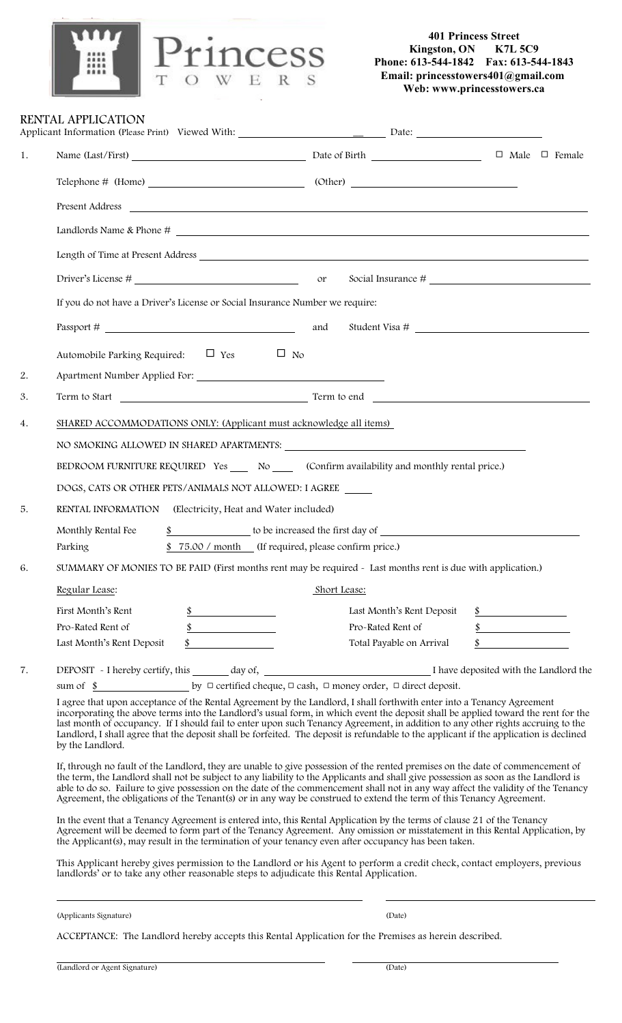

## **401 Princess Street Kingston, ON K7L 5C9 Phone: 613-544-1842 Fax: 613-544-1843 Email: princesstowers401@gmail.com Web: www.princesstowers.ca**

 $\Box$  Male  $\Box$  Female

I have deposited with the Landlord the

|    | TOWERS                                                                                                                                                                                                                             | $E$ man. princessiowers to $\mu$ gman. | Web: www.princesstowers.ca |  |
|----|------------------------------------------------------------------------------------------------------------------------------------------------------------------------------------------------------------------------------------|----------------------------------------|----------------------------|--|
|    | RENTAL APPLICATION<br>Applicant Information (Please Print) Viewed With: _________________________________Date: _____________________                                                                                               |                                        |                            |  |
| 1. | Name (Last/First) Date of Birth Date of Birth                                                                                                                                                                                      |                                        | $\Box$ Male $\Box$         |  |
|    |                                                                                                                                                                                                                                    |                                        |                            |  |
|    |                                                                                                                                                                                                                                    |                                        |                            |  |
|    |                                                                                                                                                                                                                                    |                                        |                            |  |
|    |                                                                                                                                                                                                                                    |                                        |                            |  |
|    |                                                                                                                                                                                                                                    |                                        |                            |  |
|    | If you do not have a Driver's License or Social Insurance Number we require:                                                                                                                                                       |                                        |                            |  |
|    |                                                                                                                                                                                                                                    | and<br>Student Visa #                  |                            |  |
| 2. | Automobile Parking Required: $\Box$ Yes $\Box$ No                                                                                                                                                                                  |                                        |                            |  |
| 3. |                                                                                                                                                                                                                                    |                                        |                            |  |
| 4. | SHARED ACCOMMODATIONS ONLY: (Applicant must acknowledge all items)                                                                                                                                                                 |                                        |                            |  |
|    |                                                                                                                                                                                                                                    |                                        |                            |  |
|    | BEDROOM FURNITURE REQUIRED Yes _____ No ______ (Confirm availability and monthly rental price.)                                                                                                                                    |                                        |                            |  |
|    | DOGS, CATS OR OTHER PETS/ANIMALS NOT ALLOWED: I AGREE                                                                                                                                                                              |                                        |                            |  |
| 5. | RENTAL INFORMATION (Electricity, Heat and Water included)                                                                                                                                                                          |                                        |                            |  |
|    | Monthly Rental Fee \$ to be increased the first day of                                                                                                                                                                             |                                        |                            |  |
|    | \$75.00 / month (If required, please confirm price.)<br>Parking                                                                                                                                                                    |                                        |                            |  |
| 6. | SUMMARY OF MONIES TO BE PAID (First months rent may be required - Last months rent is due with application.)                                                                                                                       |                                        |                            |  |
|    | Regular Lease:                                                                                                                                                                                                                     | Short Lease:                           |                            |  |
|    | First Month's Rent                                                                                                                                                                                                                 | Last Month's Rent Deposit              |                            |  |
|    | Pro-Rated Rent of                                                                                                                                                                                                                  | Pro-Rated Rent of                      |                            |  |
|    | Last Month's Rent Deposit<br><u> 1990 - Jan Jawa Barat, prima prima prima prima prima prima prima prima prima prima prima prima prima prima p</u>                                                                                  | Total Payable on Arrival               |                            |  |
| 7. | sum of $\frac{\$}{\$}$ by $\Box$ certified cheque, $\Box$ cash, $\Box$ money order, $\Box$ direct deposit.<br>I agree that upon acceptance of the Rental Agreement by the Landlord, I shall forthwith enter into a Tenancy Agreeme |                                        |                            |  |

the Landlord, I shall forthwith enter into a Tenancy Agreement incorporating the above terms into the Landlord's usual form, in which event the deposit shall be applied toward the rent for the last month of occupancy. If I should fail to enter upon such Tenancy Agreement, in addition to any other rights accruing to the Landlord, I shall agree that the deposit shall be forfeited. The deposit is refundable to the applicant if the application is declined by the Landlord.

If, through no fault of the Landlord, they are unable to give possession of the rented premises on the date of commencement of the term, the Landlord shall not be subject to any liability to the Applicants and shall give possession as soon as the Landlord is able to do so. Failure to give possession on the date of the commencement shall not in any way affect the validity of the Tenancy Agreement, the obligations of the Tenant(s) or in any way be construed to extend the term of this Tenancy Agreement.

In the event that a Tenancy Agreement is entered into, this Rental Application by the terms of clause 21 of the Tenancy Agreement will be deemed to form part of the Tenancy Agreement. Any omission or misstatement in this Rental Application, by the Applicant(s), may result in the termination of your tenancy even after occupancy has been taken.

This Applicant hereby gives permission to the Landlord or his Agent to perform a credit check, contact employers, previous landlords' or to take any other reasonable steps to adjudicate this Rental Application.

(Applicants Signature) (Date)

ACCEPTANCE: The Landlord hereby accepts this Rental Application for the Premises as herein described.